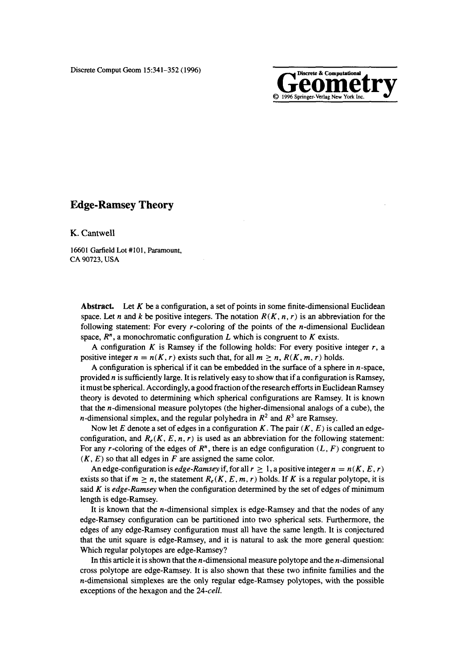Discrete Comput Geom 15:341-352 (1996)



# **Edge-Ramsey Theory**

K. Cantwell

16601 Garfield Lot #101, Paramount, CA 90723, USA

Abstract. Let  $K$  be a configuration, a set of points in some finite-dimensional Euclidean space. Let n and k be positive integers. The notation  $R(K, n, r)$  is an abbreviation for the following statement: For every  $r$ -coloring of the points of the  $n$ -dimensional Euclidean space,  $R<sup>n</sup>$ , a monochromatic configuration L which is congruent to K exists.

A configuration K is Ramsey if the following holds: For every positive integer  $r$ , a positive integer  $n = n(K, r)$  exists such that, for all  $m \ge n$ ,  $R(K, m, r)$  holds.

A configuration is spherical if it can be embedded in the surface of a sphere in  $n$ -space, provided  $n$  is sufficiently large. It is relatively easy to show that if a configuration is Ramsey, it must be spherical. Accordingly, a good fraction of the research efforts in Euclidean Ramsey theory is devoted to determining which spherical configurations are Ramsey. It is known that the  $n$ -dimensional measure polytopes (the higher-dimensional analogs of a cube), the *n*-dimensional simplex, and the regular polyhedra in  $R^2$  and  $R^3$  are Ramsey.

Now let E denote a set of edges in a configuration K. The pair  $(K, E)$  is called an edgeconfiguration, and  $R_e(K, E, n, r)$  is used as an abbreviation for the following statement: For any *r*-coloring of the edges of  $R<sup>n</sup>$ , there is an edge configuration  $(L, F)$  congruent to  $(K, E)$  so that all edges in F are assigned the same color.

An edge-configuration is *edge-Ramsey* if, for all  $r \ge 1$ , a positive integer  $n = n(K, E, r)$ exists so that if  $m \ge n$ , the statement  $R_e(K, E, m, r)$  holds. If K is a regular polytope, it is said  $K$  is *edge-Ramsey* when the configuration determined by the set of edges of minimum length is edge-Ramsey.

It is known that the n-dimensional simplex is edge-Ramsey and that the nodes of any edge-Ramsey configuration can be partitioned into two spherical sets. Furthermore, the edges of any edge-Ramsey configuration must all have the same length. It is conjectured that the unit square is edge-Ramsey, and it is natural to ask the more general question: Which regular polytopes are edge-Ramsey?

In this article it is shown that the  $n$ -dimensional measure polytope and the  $n$ -dimensional cross polytope are edge-Ramsey. It is also shown that these two infinite families and the n-dimensional simplexes are the only regular edge-Ramsey polytopes, with the possible exceptions of the hexagon and the *24-cell.*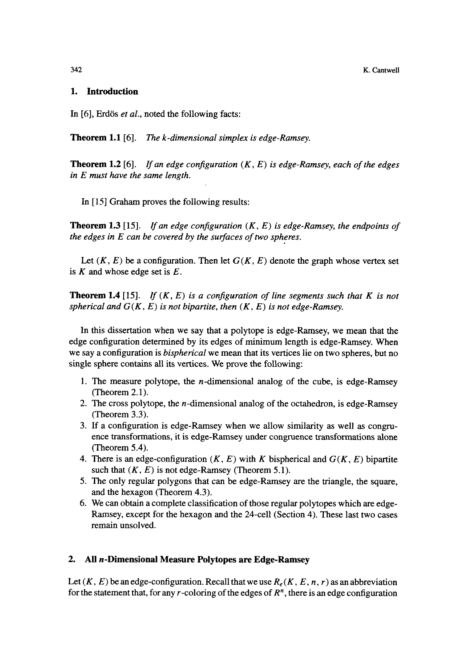## **1. Introduction**

In [6], Erdös *et al.*, noted the following facts:

**Theorem** 1.1 [6]. *The k-dimensional simplex is edge-Ramsey.* 

**Theorem** 1.2 [6]. *If an edge configuration* (K, *E) is edge-Ramsey, each of the edges in E must have the same length.* 

In [15] Graham proves the following results:

**Theorem** 1.3 [15]. *If an edge configuration (K, E) is edge-Ramsey, the endpoints of the edges in E can be covered by the surfaces of two spheres.* 

Let  $(K, E)$  be a configuration. Then let  $G(K, E)$  denote the graph whose vertex set is  $K$  and whose edge set is  $E$ .

**Theorem 1.4** [15]. *If*  $(K, E)$  is a configuration of line segments such that K is not *spherical and*  $G(K, E)$  *is not bipartite, then*  $(K, E)$  *is not edge-Ramsey.* 

In this dissertation when we say that a polytope is edge-Ramsey, we mean that the edge configuration determined by its edges of minimum length is edge-Ramsey. When we say a configuration is *bispherical* we mean that its vertices lie on two spheres, but no single sphere contains all its vertices. We prove the following:

- 1. The measure polytope, the  $n$ -dimensional analog of the cube, is edge-Ramsey (Theorem 2.1).
- 2. The cross polytope, the  $n$ -dimensional analog of the octahedron, is edge-Ramsey (Theorem 3.3).
- 3. If a configuration is edge-Ramsey when we allow similarity as well as congruence transformations, it is edge-Ramsey under congruence transformations alone (Theorem 5.4).
- 4. There is an edge-configuration  $(K, E)$  with K bispherical and  $G(K, E)$  bipartite such that  $(K, E)$  is not edge-Ramsey (Theorem 5.1).
- 5. The only regular polygons that can be edge-Ramsey are the triangle, the square, and the hexagon (Theorem 4.3).
- 6. We can obtain a complete classification of those regular polytopes which are edge-Ramsey, except for the hexagon and the 24-cell (Section 4). These last two cases remain unsolved.

### **2. All n-Dimensional Measure Polytopes are Edge-Ramsey**

Let  $(K, E)$  be an edge-configuration. Recall that we use  $R_e(K, E, n, r)$  as an abbreviation for the statement that, for any r-coloring of the edges of *R n,* there is an edge configuration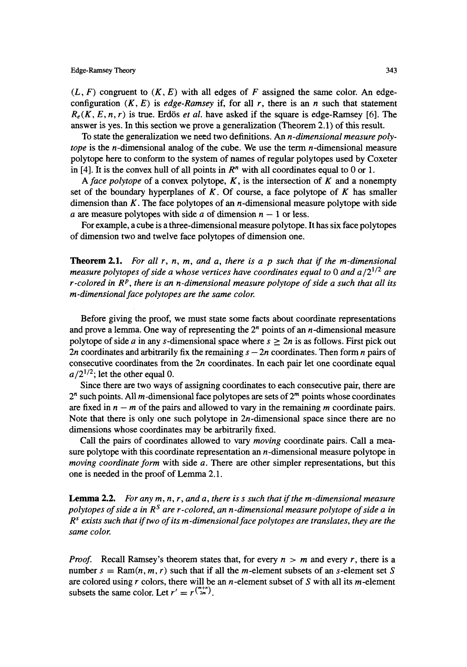$(L, F)$  congruent to  $(K, E)$  with all edges of F assigned the same color. An edgeconfiguration  $(K, E)$  is *edge-Ramsey* if, for all r, there is an n such that statement  $R_e(K, E, n, r)$  is true. Erdös *et al.* have asked if the square is edge-Ramsey [6]. The answer is yes. In this section we prove a generalization (Theorem 2.1) of this result.

To state the generalization we need two definitions. *An n-dimensional measure polytope* is the n-dimensional analog of the cube. We use the term n-dimensional measure polytope here to conform to the system of names of regular polytopes used by Coxeter in [4]. It is the convex hull of all points in  $R<sup>n</sup>$  with all coordinates equal to 0 or 1.

*A face polytope* of a convex polytope,  $K$ , is the intersection of  $K$  and a nonempty set of the boundary hyperplanes of  $K$ . Of course, a face polytope of  $K$  has smaller dimension than  $K$ . The face polytopes of an *n*-dimensional measure polytope with side a are measure polytopes with side a of dimension  $n - 1$  or less.

For example, a cube is a three-dimensional measure polytope. It has six face polytopes of dimension two and twelve face polytopes of dimension one.

Theorem 2.1. *For all r, n, m, and a, there is a p such that if the m-dimensional measure polytopes of side a whose vertices have coordinates equal to 0 and a /21/2 are r-colored in*  $\mathbb{R}^p$ *, there is an n-dimensional measure polytope of side a such that all its m-dimensional face polytopes are the same color.* 

Before giving the proof, we must state some facts about coordinate representations and prove a lemma. One way of representing the  $2<sup>n</sup>$  points of an *n*-dimensional measure polytope of side a in any s-dimensional space where  $s \geq 2n$  is as follows. First pick out 2n coordinates and arbitrarily fix the remaining  $s - 2n$  coordinates. Then form n pairs of consecutive coordinates from the 2n coordinates. In each pair let one coordinate equal  $a/2^{1/2}$ ; let the other equal 0.

Since there are two ways of assigning coordinates to each consecutive pair, there are  $2<sup>n</sup>$  such points. All *m*-dimensional face polytopes are sets of  $2<sup>m</sup>$  points whose coordinates are fixed in  $n - m$  of the pairs and allowed to vary in the remaining m coordinate pairs. Note that there is only one such polytope in  $2n$ -dimensional space since there are no dimensions whose coordinates may be arbitrarily fixed.

Call the pairs of coordinates allowed to vary *moving* coordinate pairs. Call a measure polytope with this coordinate representation an *n*-dimensional measure polytope in *moving coordinate form* with side a. There are other simpler representations, but this one is needed in the proof of Lemma 2.1,

**Lemma 2.2.** *For any m, n, r, and a, there is s such that if the m-dimensional measure* polytopes of side a in R<sup>S</sup> are r-colored, an n-dimensional measure polytope of side a in *R s exists such that if two of its m-dimensional face polytopes are translates, they are the same color.* 

*Proof.* Recall Ramsey's theorem states that, for every  $n > m$  and every r, there is a number  $s = \text{Ram}(n, m, r)$  such that if all the m-element subsets of an s-element set S are colored using r colors, there will be an *n*-element subset of S with all its *m*-element subsets the same color. Let  $r' = r^{\binom{m+n}{2m}}$ .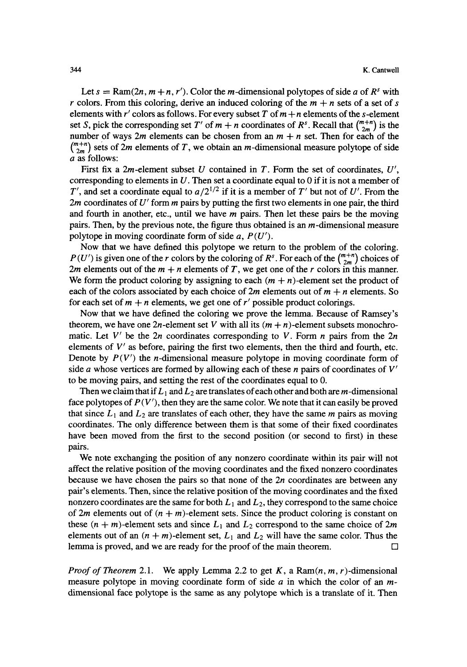Let  $s = \text{Ram}(2n, m + n, r')$ . Color the *m*-dimensional polytopes of side a of  $R<sup>s</sup>$  with r colors. From this coloring, derive an induced coloring of the  $m + n$  sets of a set of s elements with r' colors as follows. For every subset T of  $m+n$  elements of the s-element set S, pick the corresponding set T' of  $m + n$  coordinates of  $R<sup>s</sup>$ . Recall that  $\binom{m+n}{2m}$  is the number of ways 2m elements can be chosen from an  $m + n$  set. Then for each of the  $\binom{m+n}{2m}$  sets of 2m elements of T, we obtain an m-dimensional measure polytope of side a as follows:

First fix a  $2m$ -element subset U contained in T. Form the set of coordinates,  $U'$ , corresponding to elements in  $U$ . Then set a coordinate equal to 0 if it is not a member of T', and set a coordinate equal to  $a/2^{1/2}$  if it is a member of T' but not of U'. From the 2*m* coordinates of U' form *m* pairs by putting the first two elements in one pair, the third and fourth in another, etc., until we have  $m$  pairs. Then let these pairs be the moving pairs. Then, by the previous note, the figure thus obtained is an  $m$ -dimensional measure polytope in moving coordinate form of side *a, P(U').* 

Now that we have defined this polytope we return to the problem of the coloring.  $P(U')$  is given one of the r colors by the coloring of  $R<sup>s</sup>$ . For each of the  $\binom{m+n}{2m}$  choices of 2m elements out of the  $m + n$  elements of T, we get one of the r colors in this manner. We form the product coloring by assigning to each  $(m + n)$ -element set the product of each of the colors associated by each choice of  $2m$  elements out of  $m + n$  elements. So for each set of  $m + n$  elements, we get one of r' possible product colorings.

Now that we have defined the coloring we prove the lemma. Because of Ramsey's theorem, we have one 2n-element set V with all its  $(m + n)$ -element subsets monochromatic. Let V' be the 2n coordinates corresponding to V. Form n pairs from the  $2n$ elements of  $V'$  as before, pairing the first two elements, then the third and fourth, etc. Denote by  $P(V')$  the *n*-dimensional measure polytope in moving coordinate form of side a whose vertices are formed by allowing each of these n pairs of coordinates of  $V'$ to be moving pairs, and setting the rest of the coordinates equal to 0.

Then we claim that if  $L_1$  and  $L_2$  are translates of each other and both are m-dimensional face polytopes of  $P(V')$ , then they are the same color. We note that it can easily be proved that since  $L_1$  and  $L_2$  are translates of each other, they have the same m pairs as moving coordinates. The only difference between them is that some of their fixed coordinates have been moved from the first to the second position (or second to first) in these pairs.

We note exchanging the position of any nonzero coordinate within its pair will not affect the relative position of the moving coordinates and the fixed nonzero coordinates because we have chosen the pairs so that none of the 2n coordinates are between any pair's elements. Then, since the relative position of the moving coordinates and the fixed nonzero coordinates are the same for both  $L_1$  and  $L_2$ , they correspond to the same choice of 2m elements out of  $(n + m)$ -element sets. Since the product coloring is constant on these  $(n + m)$ -element sets and since  $L_1$  and  $L_2$  correspond to the same choice of  $2m$ elements out of an  $(n + m)$ -element set,  $L_1$  and  $L_2$  will have the same color. Thus the lemma is proved, and we are ready for the proof of the main theorem.  $\Box$ 

*Proof of Theorem* 2.1. We apply Lemma 2.2 to get  $K$ , a Ram $(n, m, r)$ -dimensional measure polytope in moving coordinate form of side  $a$  in which the color of an  $m$ dimensional face polytope is the same as any polytope which is a translate of it. Then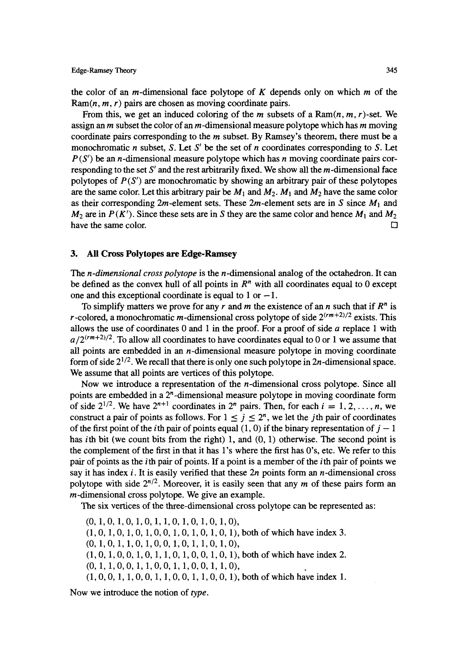the color of an *m*-dimensional face polytope of  $K$  depends only on which  $m$  of the  $Ram(n, m, r)$  pairs are chosen as moving coordinate pairs.

From this, we get an induced coloring of the m subsets of a  $Ram(n, m, r)$ -set. We assign an  $m$  subset the color of an  $m$ -dimensional measure polytope which has  $m$  moving coordinate pairs corresponding to the m subset. By Ramsey's theorem, there must be a monochromatic n subset, S. Let S' be the set of n coordinates corresponding to S. Let  $P(S')$  be an *n*-dimensional measure polytope which has *n* moving coordinate pairs corresponding to the set  $S'$  and the rest arbitrarily fixed. We show all the m-dimensional face polytopes of *P(S') are* monochromatic by showing an arbitrary pair of these polytopes are the same color. Let this arbitrary pair be  $M_1$  and  $M_2$ .  $M_1$  and  $M_2$  have the same color as their corresponding  $2m$ -element sets. These  $2m$ -element sets are in S since  $M_1$  and  $M_2$  are in  $P(K')$ . Since these sets are in S they are the same color and hence  $M_1$  and  $M_2$ have the same color.

#### **3. All Cross Polytopes are Edge-Ramsey**

*The n-dimensional cross polytope* is the n-dimensional analog of the octahedron. It can be defined as the convex hull of all points in  $\mathbb{R}^n$  with all coordinates equal to 0 except one and this exceptional coordinate is equal to 1 or  $-1$ .

To simplify matters we prove for any r and m the existence of an n such that if  $R<sup>n</sup>$  is *r*-colored, a monochromatic *m*-dimensional cross polytope of side  $2^{(rm+2)/2}$  exists. This allows the use of coordinates  $0$  and  $1$  in the proof. For a proof of side  $a$  replace  $1$  with  $a/2^{(rm+2)/2}$ . To allow all coordinates to have coordinates equal to 0 or 1 we assume that all points are embedded in an  $n$ -dimensional measure polytope in moving coordinate form of side  $2^{1/2}$ . We recall that there is only one such polytope in  $2n$ -dimensional space. We assume that all points are vertices of this polytope.

Now we introduce a representation of the n-dimensional cross polytope. Since all points are embedded in a 2<sup>n</sup>-dimensional measure polytope in moving coordinate form of side  $2^{1/2}$ . We have  $2^{n+1}$  coordinates in  $2^n$  pairs. Then, for each  $i = 1, 2, ..., n$ , we construct a pair of points as follows. For  $1 \le j \le 2^n$ , we let the *j*th pair of coordinates of the first point of the *i*th pair of points equal  $(1, 0)$  if the binary representation of  $j - 1$ has *i*th bit (we count bits from the right) 1, and  $(0, 1)$  otherwise. The second point is the complement of the first in that it has l's where the first has O's, etc. We refer to this pair of points as the ith pair of points. If a point is a member of the ith pair of points we say it has index  $i$ . It is easily verified that these  $2n$  points form an *n*-dimensional cross polytope with side  $2^{n/2}$ . Moreover, it is easily seen that any m of these pairs form an m-dimensional cross polytope. We give an example.

The six vertices of the three-dimensional cross polytope can be represented as:

 $(0, 1, 0, 1, 0, 1, 0, 1, 1, 0, 1, 0, 1, 0, 1, 0)$ , (1, 0, 1, 0, 1, 0, 1, 0, 0, 1, 0, 1, 0, 1, 0, 1), both of which have index 3.  $(0, 1, 0, 1, 1, 0, 1, 0, 0, 1, 0, 1, 1, 0, 1, 0),$ (1, 0, 1, 0, 0, 1, 0, 1, 1, 0, 1, 0, 0, 1, 0, 1), both of which have index 2. (0, 1, 1, 0, 0, 1, 1, 0, 0, 1, 1, 0, 0, 1, 1,0), (1, 0, 0, 1, 1, 0, 0, 1, 1, 0, 0, 1, 1, 0, 0, 1), both of which have index 1.

Now we introduce the notion of *type.*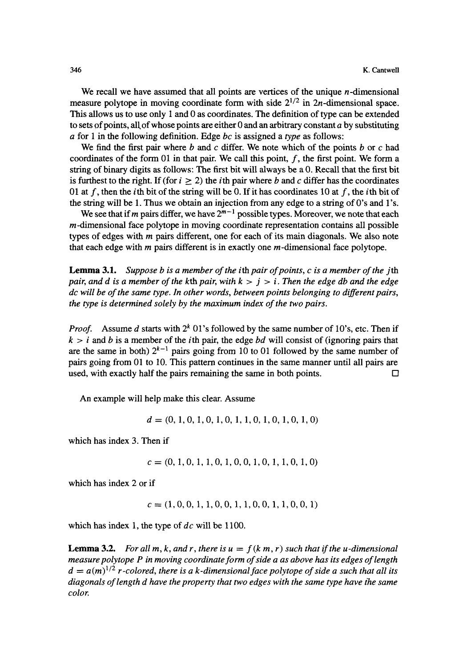We recall we have assumed that all points are vertices of the unique  $n$ -dimensional measure polytope in moving coordinate form with side  $2^{1/2}$  in 2n-dimensional space. This allows us to use only 1 and 0 as coordinates. The definition of type can be extended to sets of points, all of whose points are either  $0$  and an arbitrary constant  $a$  by substituting a for 1 in the following definition. Edge *bc* is assigned a *type* as follows:

We find the first pair where  $b$  and  $c$  differ. We note which of the points  $b$  or  $c$  had coordinates of the form 01 in that pair. We call this point,  $f$ , the first point. We form a string of binary digits as follows: The first bit will always be a 0. Recall that the first bit is furthest to the right. If (for  $i \ge 2$ ) the *i*th pair where *b* and *c* differ has the coordinates 01 at f, then the *i*th bit of the string will be 0. If it has coordinates 10 at f, the *i*th bit of the string will be 1. Thus we obtain an injection from any edge to a string of 0's and l's.

We see that if m pairs differ, we have  $2^{m-1}$  possible types. Moreover, we note that each  $m$ -dimensional face polytope in moving coordinate representation contains all possible types of edges with m pairs different, one for each of its main diagonals. We also note that each edge with  $m$  pairs different is in exactly one  $m$ -dimensional face polytope.

**Lemma 3.1.** *Suppose b is a member of the ith pair of points, c is a member of the jth pair, and d is a member of the kth pair, with*  $k > j > i$ *. Then the edge db and the edge dc will be of the same type. In other words, between points belonging to different pairs, the type is determined solely by the maximum index of the two pairs.* 

*Proof.* Assume d starts with  $2^k$  01's followed by the same number of 10's, etc. Then if  $k > i$  and b is a member of the *i*th pair, the edge bd will consist of (ignoring pairs that are the same in both)  $2^{k-1}$  pairs going from 10 to 01 followed by the same number of pairs going from 01 to 10. This pattern continues in the same manner until all pairs are used, with exactly half the pairs remaining the same in both points.  $\Box$ 

An example will help make this clear. Assume

$$
d = (0, 1, 0, 1, 0, 1, 0, 1, 1, 0, 1, 0, 1, 0, 1, 0)
$$

which has index 3. Then if

 $c=(0,1,0,1,1,0,1,0,0,1,0,1,1,0,1,0)$ 

which has index 2 or if

$$
c = (1, 0, 0, 1, 1, 0, 0, 1, 1, 0, 0, 1, 1, 0, 0, 1)
$$

which has index 1, the type of *dc* will be 1100.

**Lemma 3.2.** *For all m, k, and r, there is*  $u = f(km, r)$  *such that if the u-dimensional measure polytope P in moving coordinate form of side a as above has its edges of length*   $d = a(m)^{1/2}$  r-colored, there is a k-dimensional face polytope of side a such that all its *diagonals of length d have the property that two edges with the same type have the same colon*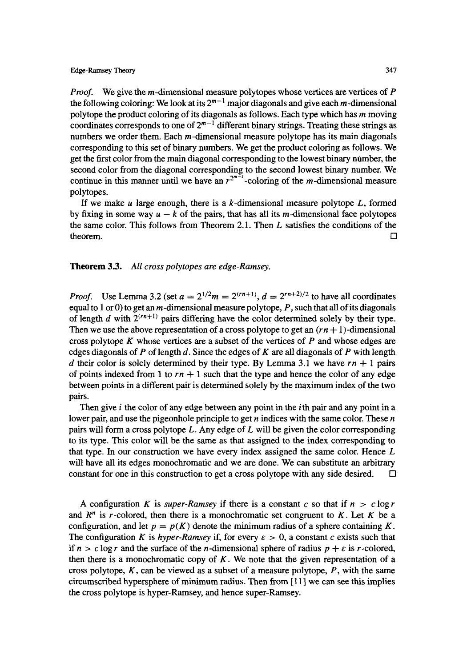*Proof.* We give the *m*-dimensional measure polytopes whose vertices are vertices of *P* the following coloring: We look at its  $2^{m-1}$  major diagonals and give each m-dimensional polytope the product coloring of its diagonals as follows. Each type which has  $m$  moving coordinates corresponds to one of  $2^{m-1}$  different binary strings. Treating these strings as numbers we order them. Each  $m$ -dimensional measure polytope has its main diagonals corresponding to this set of binary numbers. We get the product coloring as follows. We get the first color from the main diagonal corresponding to the lowest binary number, the second color from the diagonal corresponding to the second lowest binary number. We continue in this manner until we have an  $r^{2^{m-1}}$ -coloring of the *m*-dimensional measure polytopes.

If we make u large enough, there is a  $k$ -dimensional measure polytope  $L$ , formed by fixing in some way  $u - k$  of the pairs, that has all its m-dimensional face polytopes the same color. This follows from Theorem 2.1. Then L satisfies the conditions of the theorem.  $\Box$ 

#### Theorem 3.3. *All cross polytopes are edge-Ramsey.*

*Proof.* Use Lemma 3.2 (set  $a = 2^{1/2}m = 2^{(rn+1)}$ ,  $d = 2^{rn+2)/2}$  to have all coordinates equal to 1 or 0) to get an  $m$ -dimensional measure polytope,  $P$ , such that all of its diagonals of length d with  $2^{(rn+1)}$  pairs differing have the color determined solely by their type. Then we use the above representation of a cross polytope to get an  $(rn + 1)$ -dimensional cross polytope  $K$  whose vertices are a subset of the vertices of  $P$  and whose edges are edges diagonals of P of length d. Since the edges of K are all diagonals of P with length d their color is solely determined by their type. By Lemma 3.1 we have  $rn + 1$  pairs of points indexed from 1 to  $rn + 1$  such that the type and hence the color of any edge between points in a different pair is determined solely by the maximum index of the two pairs.

Then give *i* the color of any edge between any point in the *i*th pair and any point in a lower pair, and use the pigeonhole principle to get  $n$  indices with the same color. These  $n$ pairs will form a cross polytope  $L$ . Any edge of  $L$  will be given the color corresponding to its type. This color will be the same as that assigned to the index corresponding to that type. In our construction we have every index assigned the same color. Hence  $L$ will have all its edges monochromatic and we are done. We can substitute an arbitrary constant for one in this construction to get a cross polytope with any side desired.  $\Box$ 

A configuration K is *super-Ramsey* if there is a constant c so that if  $n > c \log r$ and  $R^n$  is r-colored, then there is a monochromatic set congruent to K. Let K be a configuration, and let  $p = p(K)$  denote the minimum radius of a sphere containing K. The configuration K is *hyper-Ramsey* if, for every  $\varepsilon > 0$ , a constant c exists such that if  $n > c \log r$  and the surface of the *n*-dimensional sphere of radius  $p + \varepsilon$  is *r*-colored, then there is a monochromatic copy of  $K$ . We note that the given representation of a cross polytope,  $K$ , can be viewed as a subset of a measure polytope,  $P$ , with the same circumscribed hypersphere of minimum radius. Then from [11] we can see this implies the cross polytope is hyper-Ramsey, and hence super-Ramsey.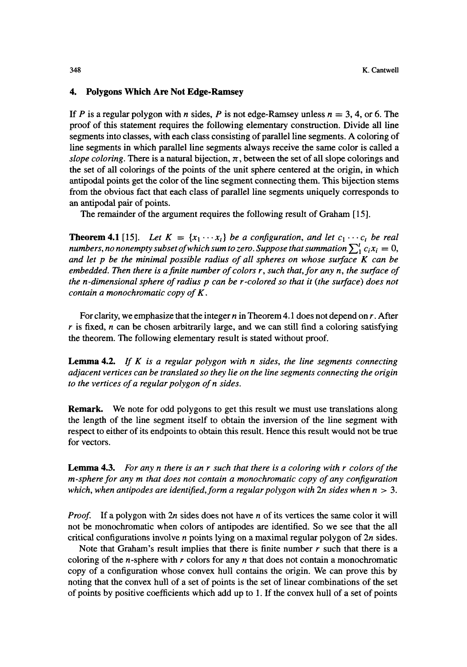#### **4. Polygons Which Are Not Edge-Ramsey**

If P is a regular polygon with n sides, P is not edge-Ramsey unless  $n = 3, 4$ , or 6. The proof of this statement requires the following elementary construction. Divide all line segments into classes, with each class consisting of parallel line segments. A coloring of line segments in which parallel line segments always receive the same color is called a *slope coloring.* There is a natural bijection,  $\pi$ , between the set of all slope colorings and the set of all colorings of the points of the unit sphere centered at the origin, in which antipodal points get the color of the line segment connecting them. This bijection stems from the obvious fact that each class of parallel line segments uniquely corresponds to an antipodal pair of points.

The remainder of the argument requires the following result of Graham [15].

**Theorem 4.1** [15]. *Let*  $K = \{x_1 \cdots x_t\}$  *be a configuration, and let*  $c_1 \cdots c_t$  *be real numbers, no nonempty subset of which sum to zero. Suppose that summation*  $\sum_{i=1}^{t} c_i x_i = 0$ , *and let p be the minimal possible radius of all spheres on whose surface K can be embedded. Then there is a finite number of colors r, such that, for any n, the surface of the n-dimensional sphere of radius p can be r-colored so that it (the surface) does not contain a monochromatic copy of K.* 

For clarity, we emphasize that the integer  $n$  in Theorem 4.1 does not depend on  $r$ . After  $r$  is fixed,  $n$  can be chosen arbitrarily large, and we can still find a coloring satisfying the theorem. The following elementary result is stated without proof.

Lemma 4.2. *If K is a regular polygon with n sides, the line segments connecting adjacent vertices can be translated so they lie on the line segments connecting the origin to the vertices of a regular polygon of n sides.* 

Remark. We note for odd polygons to get this result we must use translations along the length of the line segment itself to obtain the inversion of the line segment with respect to either of its endpoints to obtain this result. Hence this result would not be true for vectors.

Lemma 4.3. *For any n there is an r such that there is a coloring with r colors of the m-sphere for any m that does not contain a monochromatic copy of any configuration*  which, when antipodes are identified, form a regular polygon with  $2n$  sides when  $n > 3$ .

*Proof.* If a polygon with 2n sides does not have n of its vertices the same color it will not be monochromatic when colors of antipodes are identified. So we see that the all critical configurations involve *n* points lying on a maximal regular polygon of  $2n$  sides.

Note that Graham's result implies that there is finite number  $r$  such that there is a coloring of the *n*-sphere with r colors for any *n* that does not contain a monochromatic copy of a configuration whose convex hull contains the origin. We can prove this by noting that the convex hull of a set of points is the set of linear combinations of the set of points by positive coefficients which add up to 1. If the convex hull of a set of points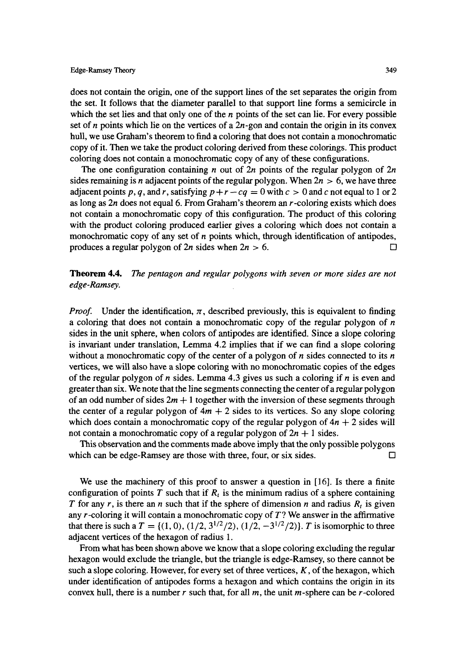does not contain the origin, one of the support lines of the set separates the origin from the set. It follows that the diameter parallel to that support line forms a semicircle in which the set lies and that only one of the  $n$  points of the set can lie. For every possible set of n points which lie on the vertices of a  $2n$ -gon and contain the origin in its convex hull, we use Graham's theorem to find a coloring that does not contain a monochromatic copy of it. Then we take the product coloring derived from these colorings. This product coloring does not contain a monochromatic copy of any of these configurations.

The one configuration containing n out of  $2n$  points of the regular polygon of  $2n$ sides remaining is n adjacent points of the regular polygon. When  $2n > 6$ , we have three adjacent points p, q, and r, satisfying  $p+r-cq = 0$  with  $c > 0$  and c not equal to 1 or 2 as long as  $2n$  does not equal 6. From Graham's theorem an  $r$ -coloring exists which does not contain a monochromatic copy of this configuration. The product of this coloring with the product coloring produced earlier gives a coloring which does not contain a monochromatic copy of any set of  $n$  points which, through identification of antipodes, produces a regular polygon of 2n sides when  $2n > 6$ .

Theorem 4.4. *The pentagon and regular polygons with seven or more sides are not edge-Ramsey.* 

*Proof.* Under the identification,  $\pi$ , described previously, this is equivalent to finding a coloring that does not contain a monochromatic copy of the regular polygon of  $n$ sides in the unit sphere, when colors of antipodes are identified. Since a slope coloring is invariant under translation, Lemma 4.2 implies that if we can find a slope coloring without a monochromatic copy of the center of a polygon of  $n$  sides connected to its  $n$ vertices, we will also have a slope coloring with no monochromatic copies of the edges of the regular polygon of n sides. Lemma 4.3 gives us such a coloring if n is even and greater than six. We note that the line segments connecting the center of a regular polygon of an odd number of sides  $2m + 1$  together with the inversion of these segments through the center of a regular polygon of  $4m + 2$  sides to its vertices. So any slope coloring which does contain a monochromatic copy of the regular polygon of  $4n + 2$  sides will not contain a monochromatic copy of a regular polygon of  $2n + 1$  sides.

This observation and the comments made above imply that the only possible polygons which can be edge-Ramsey are those with three, four, or six sides.  $\Box$ 

We use the machinery of this proof to answer a question in [16]. Is there a finite configuration of points T such that if  $R_t$  is the minimum radius of a sphere containing T for any r, is there an n such that if the sphere of dimension n and radius  $R_t$  is given any  $r$ -coloring it will contain a monochromatic copy of  $T$ ? We answer in the affirmative that there is such a  $T = \{(1, 0), (1/2, 3^{1/2}/2), (1/2, -3^{1/2}/2)\}\$ . T is isomorphic to three adjacent vertices of the hexagon of radius 1.

From what has been shown above we know that a slope coloring excluding the regular hexagon would exclude the triangle, but the triangle is edge-Ramsey, so there cannot be such a slope coloring. However, for every set of three vertices,  $K$ , of the hexagon, which under identification of antipodes forms a hexagon and which contains the origin in its convex hull, there is a number r such that, for all  $m$ , the unit m-sphere can be r-colored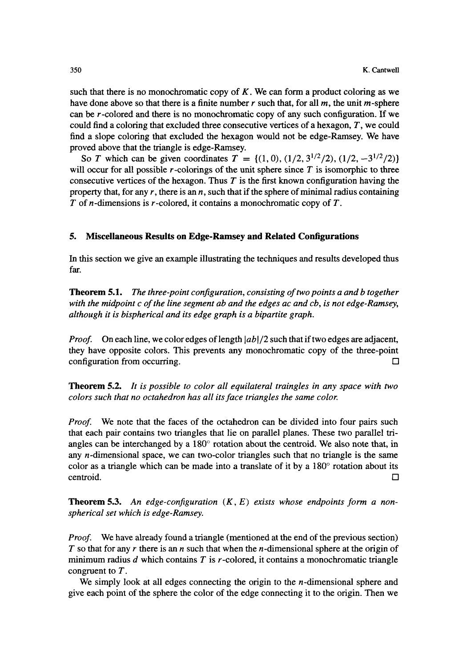such that there is no monochromatic copy of  $K$ . We can form a product coloring as we have done above so that there is a finite number r such that, for all m, the unit m-sphere can be r-colored and there is no monochromatic copy of any such configuration. If we could find a coloring that excluded three consecutive vertices of a hexagon, T, we could find a slope coloring that excluded the hexagon would not be edge-Ramsey. We have proved above that the triangle is edge-Ramsey.

So T which can be given coordinates  $T = \{(1, 0), (1/2, 3^{1/2}/2), (1/2, -3^{1/2}/2)\}\$ will occur for all possible  $r$ -colorings of the unit sphere since  $T$  is isomorphic to three consecutive vertices of the hexagon. Thus  $T$  is the first known configuration having the property that, for any r, there is an  $n$ , such that if the sphere of minimal radius containing T of *n*-dimensions is *r*-colored, it contains a monochromatic copy of  $T$ .

### **5. Miscellaneous Results on Edge-Ramsey and Related Configurations**

In this section we give an example illustrating the techniques and results developed thus far.

**Theorem** 5.1. *The three-point configuration, consisting of two points a and b together with the midpoint c of the line segment ab and the edges ac and cb, is not edge-Ramsey, although it is bispherical and its edge graph is a bipartite graph.* 

*Proof.* On each line, we color edges of length  $|ab|/2$  such that if two edges are adjacent, they have opposite colors. This prevents any monochromatic copy of the three-point configuration from occurring.  $\Box$ 

**Theorem** 5.2. *It is possible to color all equilateral traingles in any space with two colors such that no octahedron has all its face triangles the same color.* 

*Proof.* We note that the faces of the octahedron can be divided into four pairs such that each pair contains two triangles that lie on parallel planes. These two parallel triangles can be interchanged by a  $180^\circ$  rotation about the centroid. We also note that, in any n-dimensional space, we can two-color triangles such that no triangle is the same color as a triangle which can be made into a translate of it by a  $180^\circ$  rotation about its centroid.  $\Box$ 

**Theorem 5.3.** An edge-configuration  $(K, E)$  exists whose endpoints form a non*spherical set which is edge-Ramsey.* 

*Proof.* We have already found a triangle (mentioned at the end of the previous section) T so that for any r there is an n such that when the n-dimensional sphere at the origin of minimum radius  $d$  which contains  $T$  is  $r$ -colored, it contains a monochromatic triangle congruent to T.

We simply look at all edges connecting the origin to the  $n$ -dimensional sphere and give each point of the sphere the color of the edge connecting it to the origin. Then we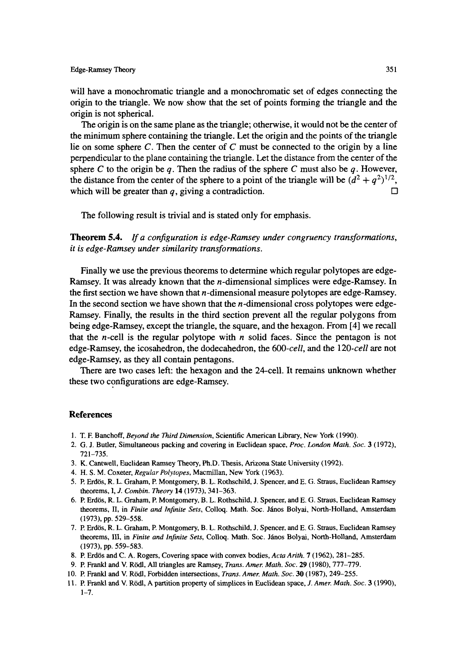will have a monochromatic triangle and a monochromatic set of edges connecting the origin to the triangle. We now show that the set of points forming the triangle and the origin is not spherical.

The origin is on the same plane as the triangle; otherwise, it would not be the center of the minimum sphere containing the triangle. Let the origin and the points of the triangle lie on some sphere  $C$ . Then the center of  $C$  must be connected to the origin by a line perpendicular to the plane containing the triangle. Let the distance from the center of the sphere C to the origin be q. Then the radius of the sphere C must also be q. However, the distance from the center of the sphere to a point of the triangle will be  $(d^2 + q^2)^{1/2}$ , which will be greater than q, giving a contradiction.  $\Box$ 

The following result is trivial and is stated only for emphasis.

Theorem 5.4. *If a configuration is edge-Ramsey under congruency transformations, it is edge-Ramsey under similarity transformations.* 

Finally we use the previous theorems to determine which regular polytopes are edge-Ramsey. It was already known that the n-dimensional simplices were edge-Ramsey. In the first section we have shown that n-dimensional measure polytopes are edge-Ramsey. In the second section we have shown that the  $n$ -dimensional cross polytopes were edge-Ramsey. Finally, the results in the third section prevent all the regular polygons from being edge-Ramsey, except the triangle, the square, and the hexagon. From [4] we recall that the *n*-cell is the regular polytope with  $n$  solid faces. Since the pentagon is not edge-Ramsey, the icosahedron, the dodecahedron, the *600-cell, and the 120-cell are* not edge-Ramsey, as they all contain pentagons.

There are two cases left: the hexagon and the 24-ce11. It remains unknown whether these two configurations are edge-Ramsey.

#### **References**

- 1. T. E Banchoff, *Beyond the Third Dimension,* Scientific American Library, New York (1990).
- 2. G. J. Butler, Simultaneous packing and covering in Euclidean space, *Proc. London Math. Soc.* 3 (1972), 721-735.
- 3. K. Cantwell, Euclidean Ramsey Theory, Ph.D. Thesis, Arizona State University (1992).
- 4. H. S. M. Coxeter, *Regular Polytopes,* Macmillan, New York (1963).
- 5. P. Erdös, R. L. Graham, P. Montgomery, B. L. Rothschild, J. Spencer, and E. G. Straus, Euclidean Ramsey theorems, 1, *J. Combin. Theory* 14 (1973), 341-363.
- 6. P. Erdös, R. L. Graham, P. Montgomery, B. L. Rothschild, J. Spencer, and E. G. Straus, Euclidean Ramsey theorems, II, in *Finite and Infinite Sets*, Colloq. Math. Soc. János Bolyai, North-Holland, Amsterdam (1973), pp. 529-558.
- 7. P. Erdös, R. L. Graham, P. Montgomery, B. L. Rothschild, J. Spencer, and E. G. Straus, Euclidean Ramsey theorems, III, in *Finite and Infinite Sets*, Colloq. Math. Soc. János Bolyai, North-Holland, Amsterdam (1973), pp. 559-583.
- 8. E Erd6s and C. A. Rogers, Covering space with convex bodies, *Acta Arith.* 7 (1962), 281-285.
- 9. E Frankl and V. R6dl, All triangles are Ramsey, *Trans. Amer. Math. Soc.* 29 (1980), 777-779.
- 10. E Frankl and V. Rtidl, Forbidden intersections, *Trans. Amer. Math. Soc.* 30 (1987), 249-255.
- 11. E Franld and V. R6dl, A partition property of simplices in Euclidean space, *J. Amer. Math. Soc.* 3 (1990),  $1 - 7.$